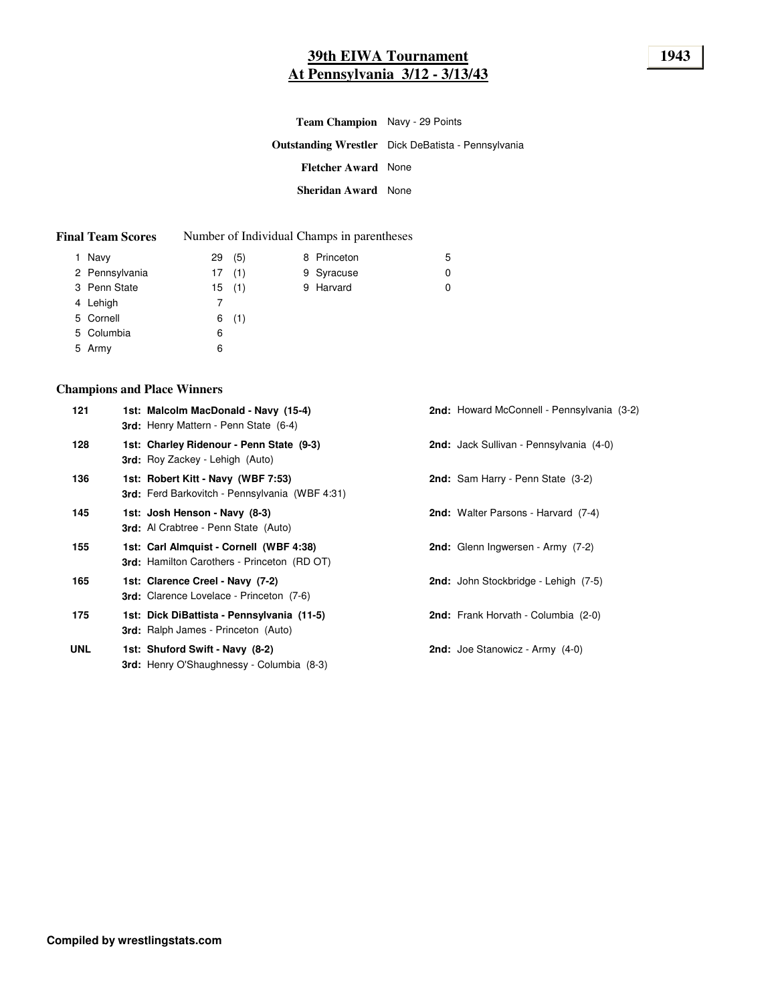# **39th EIWA Tournament 1943 At Pennsylvania 3/12 - 3/13/43**

| <b>Team Champion</b> Navy - 29 Points |                                                           |
|---------------------------------------|-----------------------------------------------------------|
|                                       | <b>Outstanding Wrestler</b> Dick DeBatista - Pennsylvania |
| <b>Fletcher Award</b> None            |                                                           |
| <b>Sheridan Award</b> None            |                                                           |

| <b>Final Team Scores</b> |  | Number of Individual Champs in parentheses |
|--------------------------|--|--------------------------------------------|
|--------------------------|--|--------------------------------------------|

| 1 Navy         | 29 | (5)   | 8 Princeton | 5 |
|----------------|----|-------|-------------|---|
| 2 Pennsylvania |    | 17(1) | 9 Syracuse  | 0 |
| 3 Penn State   |    | 15(1) | 9 Harvard   | 0 |
| 4 Lehigh       |    |       |             |   |
| 5 Cornell      |    | 6(1)  |             |   |
| 5 Columbia     | 6  |       |             |   |
| 5 Army         | 6  |       |             |   |

### **Champions and Place Winners**

| 121        | 1st: Malcolm MacDonald - Navy (15-4)<br>3rd: Henry Mattern - Penn State (6-4)                 | 2nd: Howard McConnell - Pennsylvania (3-2) |
|------------|-----------------------------------------------------------------------------------------------|--------------------------------------------|
| 128        | 1st: Charley Ridenour - Penn State (9-3)<br><b>3rd:</b> Roy Zackey - Lehigh (Auto)            | 2nd: Jack Sullivan - Pennsylvania (4-0)    |
| 136        | 1st: Robert Kitt - Navy (WBF 7:53)<br><b>3rd:</b> Ferd Barkovitch - Pennsylvania (WBF 4:31)   | <b>2nd:</b> Sam Harry - Penn State (3-2)   |
| 145        | 1st: Josh Henson - Navy (8-3)<br><b>3rd:</b> Al Crabtree - Penn State (Auto)                  | <b>2nd:</b> Walter Parsons - Harvard (7-4) |
| 155        | 1st: Carl Almquist - Cornell (WBF 4:38)<br><b>3rd:</b> Hamilton Carothers - Princeton (RD OT) | 2nd: Glenn Ingwersen - Army (7-2)          |
| 165        | 1st: Clarence Creel - Navy (7-2)<br><b>3rd:</b> Clarence Lovelace - Princeton (7-6)           | 2nd: John Stockbridge - Lehigh (7-5)       |
| 175        | 1st: Dick DiBattista - Pennsylvania (11-5)<br><b>3rd:</b> Ralph James - Princeton (Auto)      | 2nd: Frank Horvath - Columbia (2-0)        |
| <b>UNL</b> | 1st: Shuford Swift - Navy (8-2)<br><b>3rd:</b> Henry O'Shaughnessy - Columbia (8-3)           | <b>2nd:</b> Joe Stanowicz - Army $(4-0)$   |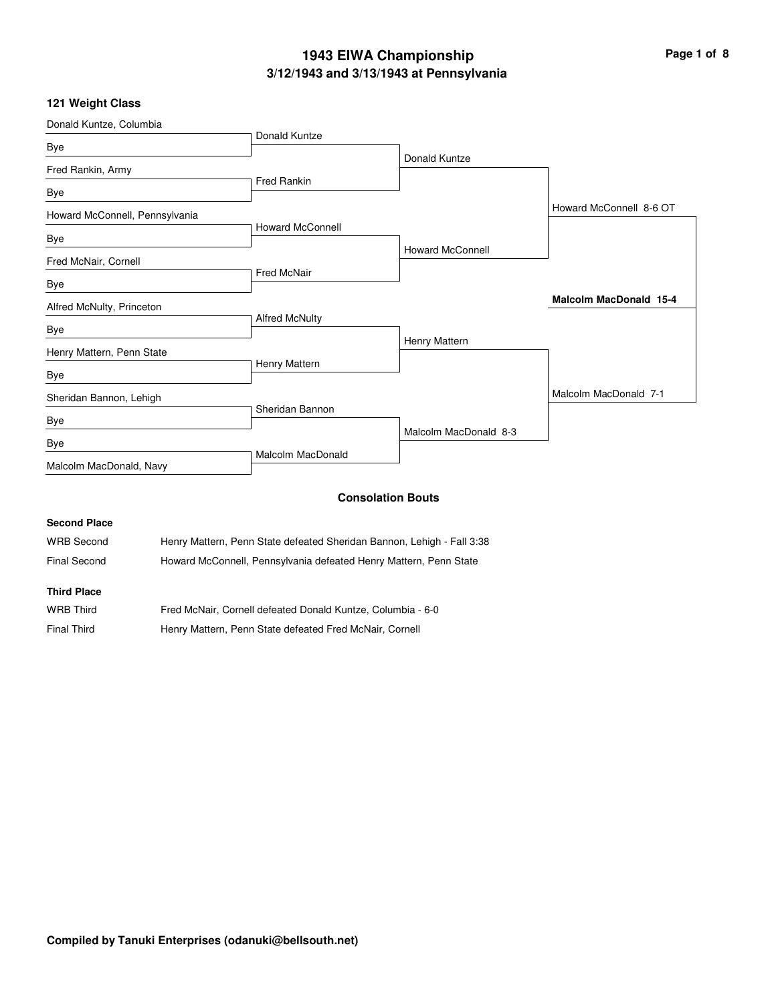### **3/12/1943 and 3/13/1943 at Pennsylvania 1943 EIWA Championship Page 1 of 8**

### **121 Weight Class**

| Donald Kuntze, Columbia        |                         |                          |                               |
|--------------------------------|-------------------------|--------------------------|-------------------------------|
|                                | Donald Kuntze           |                          |                               |
| Bye                            |                         | Donald Kuntze            |                               |
| Fred Rankin, Army              |                         |                          |                               |
| Bye                            | <b>Fred Rankin</b>      |                          |                               |
|                                |                         |                          | Howard McConnell 8-6 OT       |
| Howard McConnell, Pennsylvania | <b>Howard McConnell</b> |                          |                               |
| Bye                            |                         |                          |                               |
|                                |                         | <b>Howard McConnell</b>  |                               |
| Fred McNair, Cornell           | <b>Fred McNair</b>      |                          |                               |
| Bye                            |                         |                          |                               |
| Alfred McNulty, Princeton      |                         |                          | <b>Malcolm MacDonald 15-4</b> |
|                                | <b>Alfred McNulty</b>   |                          |                               |
| Bye                            |                         |                          |                               |
| Henry Mattern, Penn State      |                         | Henry Mattern            |                               |
|                                | Henry Mattern           |                          |                               |
| Bye                            |                         |                          |                               |
| Sheridan Bannon, Lehigh        |                         |                          | Malcolm MacDonald 7-1         |
| Bye                            | Sheridan Bannon         |                          |                               |
|                                |                         | Malcolm MacDonald 8-3    |                               |
| Bye                            | Malcolm MacDonald       |                          |                               |
| Malcolm MacDonald, Navy        |                         |                          |                               |
|                                |                         | <b>Consolation Bouts</b> |                               |
| <b>Second Place</b>            |                         |                          |                               |
|                                |                         |                          |                               |

WRB Second Henry Mattern, Penn State defeated Sheridan Bannon, Lehigh - Fall 3:38 Final Second Howard McConnell, Pennsylvania defeated Henry Mattern, Penn State

#### **Third Place**

| <b>WRB Third</b>   | Fred McNair, Cornell defeated Donald Kuntze, Columbia - 6-0 |
|--------------------|-------------------------------------------------------------|
| <b>Final Third</b> | Henry Mattern, Penn State defeated Fred McNair, Cornell     |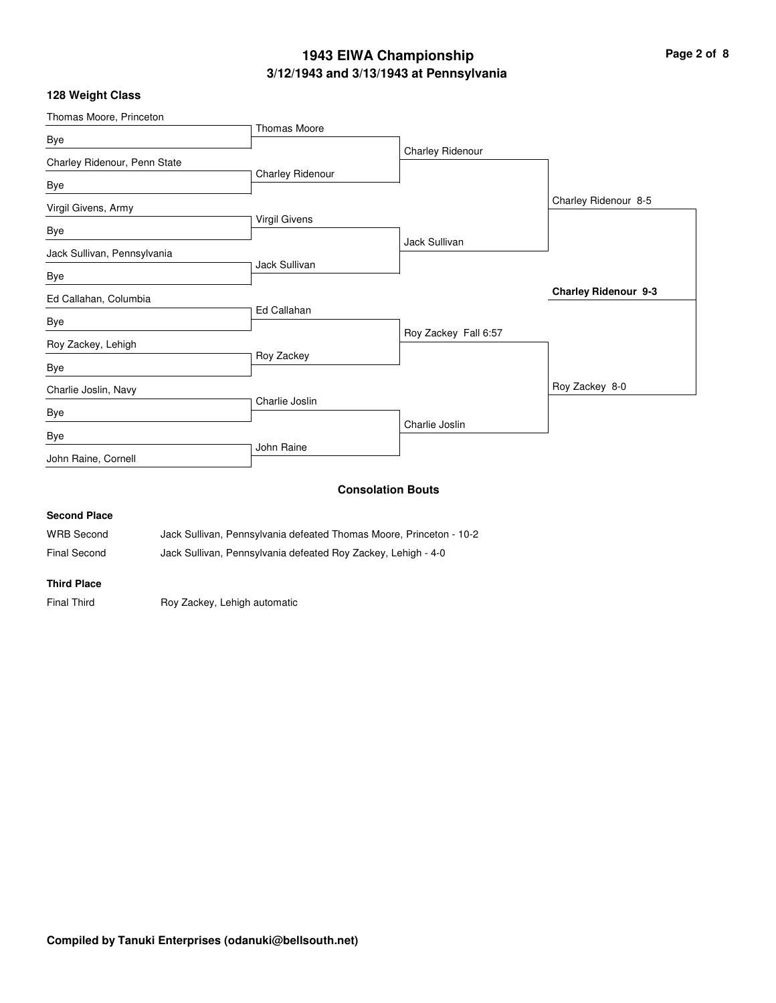### **3/12/1943 and 3/13/1943 at Pennsylvania 1943 EIWA Championship Page 2 of 8**

### **128 Weight Class**

| Thomas Moore, Princeton      |                         |                          |                             |
|------------------------------|-------------------------|--------------------------|-----------------------------|
| Bye                          | <b>Thomas Moore</b>     |                          |                             |
| Charley Ridenour, Penn State |                         | Charley Ridenour         |                             |
| Bye                          | <b>Charley Ridenour</b> |                          |                             |
| Virgil Givens, Army          |                         |                          | Charley Ridenour 8-5        |
| Bye                          | <b>Virgil Givens</b>    |                          |                             |
| Jack Sullivan, Pennsylvania  |                         | Jack Sullivan            |                             |
| Bye                          | Jack Sullivan           |                          |                             |
| Ed Callahan, Columbia        |                         |                          | <b>Charley Ridenour 9-3</b> |
| Bye                          | Ed Callahan             |                          |                             |
| Roy Zackey, Lehigh           |                         | Roy Zackey Fall 6:57     |                             |
| Bye                          | Roy Zackey              |                          |                             |
| Charlie Joslin, Navy         |                         |                          | Roy Zackey 8-0              |
| Bye                          | Charlie Joslin          |                          |                             |
| Bye                          |                         | Charlie Joslin           |                             |
| John Raine, Cornell          | John Raine              |                          |                             |
|                              |                         | <b>Consolation Bouts</b> |                             |
| <b>Second Place</b>          |                         |                          |                             |

WRB Second Jack Sullivan, Pennsylvania defeated Thomas Moore, Princeton - 10-2 Final Second Jack Sullivan, Pennsylvania defeated Roy Zackey, Lehigh - 4-0

**Third Place**

Final Third **Roy Zackey, Lehigh automatic**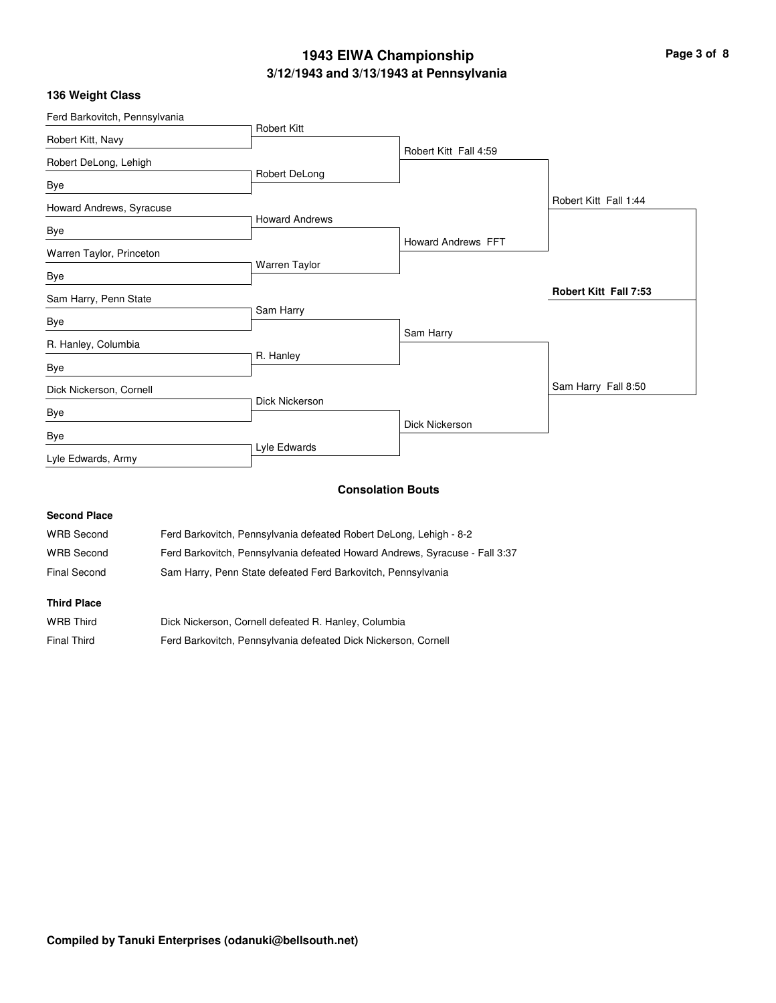# **3/12/1943 and 3/13/1943 at Pennsylvania 1943 EIWA Championship Page 3 of 8**

| 136 Weight Class |  |
|------------------|--|
|------------------|--|

| Ferd Barkovitch, Pennsylvania |                       |                           |                              |
|-------------------------------|-----------------------|---------------------------|------------------------------|
| Robert Kitt, Navy             | <b>Robert Kitt</b>    |                           |                              |
| Robert DeLong, Lehigh         |                       | Robert Kitt Fall 4:59     |                              |
| Bye                           | Robert DeLong         |                           |                              |
| Howard Andrews, Syracuse      |                       |                           | Robert Kitt Fall 1:44        |
| Bye                           | <b>Howard Andrews</b> |                           |                              |
| Warren Taylor, Princeton      |                       | <b>Howard Andrews FFT</b> |                              |
| Bye                           | Warren Taylor         |                           |                              |
| Sam Harry, Penn State         |                       |                           | <b>Robert Kitt Fall 7:53</b> |
| Bye                           | Sam Harry             |                           |                              |
| R. Hanley, Columbia           |                       | Sam Harry                 |                              |
| Bye                           | R. Hanley             |                           |                              |
| Dick Nickerson, Cornell       |                       |                           | Sam Harry Fall 8:50          |
| Bye                           | Dick Nickerson        |                           |                              |
| Bye                           |                       | Dick Nickerson            |                              |
| Lyle Edwards, Army            | Lyle Edwards          |                           |                              |

### **Consolation Bouts**

### **Second Place**

| <b>WRB Second</b> | Ferd Barkovitch, Pennsylvania defeated Robert DeLong, Lehigh - 8-2          |
|-------------------|-----------------------------------------------------------------------------|
| <b>WRB Second</b> | Ferd Barkovitch, Pennsylvania defeated Howard Andrews, Syracuse - Fall 3:37 |
| Final Second      | Sam Harry, Penn State defeated Ferd Barkovitch, Pennsylvania                |

#### **Third Place**

| WRB Third          | Dick Nickerson, Cornell defeated R. Hanley, Columbia           |
|--------------------|----------------------------------------------------------------|
| <b>Final Third</b> | Ferd Barkovitch, Pennsylvania defeated Dick Nickerson, Cornell |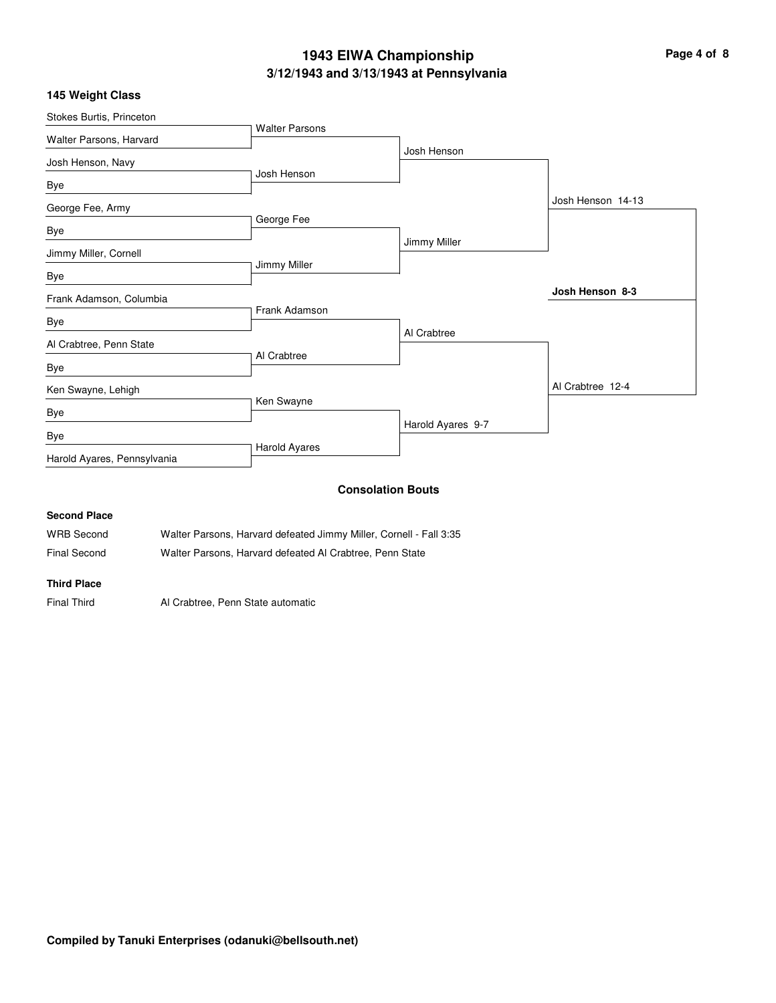# **3/12/1943 and 3/13/1943 at Pennsylvania 1943 EIWA Championship Page 4 of 8**

| Stokes Burtis, Princeton    |                          |                   |                   |
|-----------------------------|--------------------------|-------------------|-------------------|
| Walter Parsons, Harvard     | <b>Walter Parsons</b>    |                   |                   |
|                             |                          | Josh Henson       |                   |
| Josh Henson, Navy           | Josh Henson              |                   |                   |
| Bye                         |                          |                   |                   |
| George Fee, Army            |                          |                   | Josh Henson 14-13 |
|                             | George Fee               |                   |                   |
| Bye                         |                          | Jimmy Miller      |                   |
| Jimmy Miller, Cornell       |                          |                   |                   |
| Bye                         | Jimmy Miller             |                   |                   |
|                             |                          |                   | Josh Henson 8-3   |
| Frank Adamson, Columbia     | Frank Adamson            |                   |                   |
| Bye                         |                          |                   |                   |
| Al Crabtree, Penn State     |                          | Al Crabtree       |                   |
|                             | Al Crabtree              |                   |                   |
| Bye                         |                          |                   |                   |
| Ken Swayne, Lehigh          |                          |                   | Al Crabtree 12-4  |
| Bye                         | Ken Swayne               |                   |                   |
|                             |                          | Harold Ayares 9-7 |                   |
| Bye                         |                          |                   |                   |
| Harold Ayares, Pennsylvania | <b>Harold Ayares</b>     |                   |                   |
|                             | <b>Consolation Bouts</b> |                   |                   |

### **Second Place**

| WRB Second   | Walter Parsons, Harvard defeated Jimmy Miller, Cornell - Fall 3:35 |
|--------------|--------------------------------------------------------------------|
| Final Second | Walter Parsons, Harvard defeated Al Crabtree, Penn State           |

### **Third Place**

Final Third Al Crabtree, Penn State automatic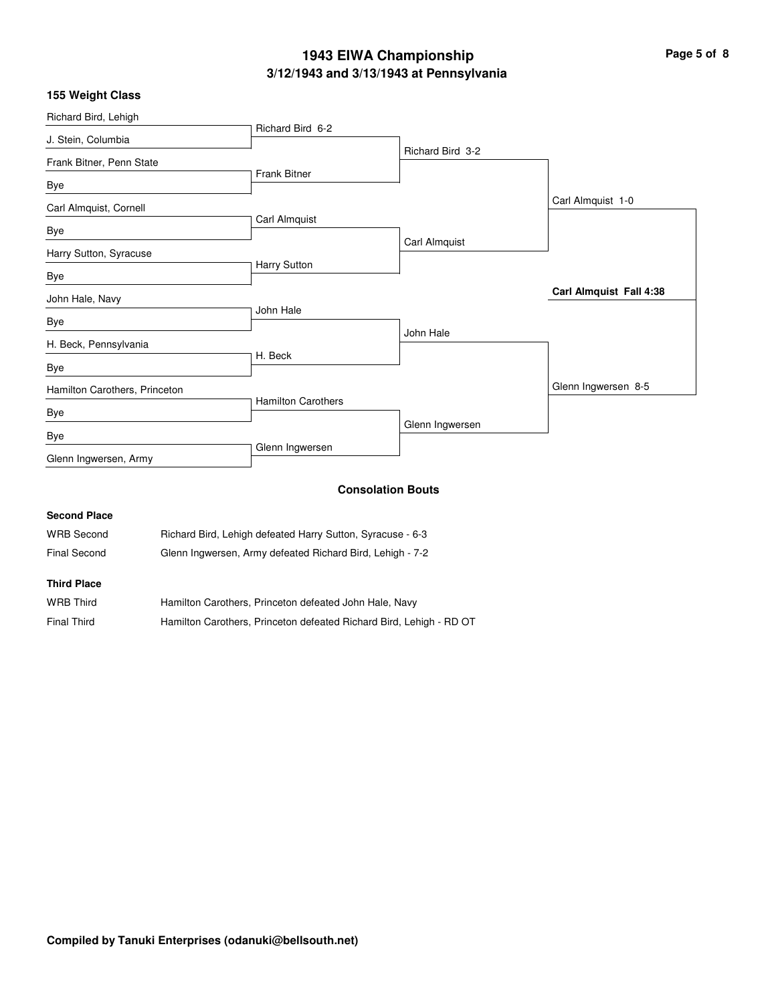# **3/12/1943 and 3/13/1943 at Pennsylvania 1943 EIWA Championship Page 5 of 8**

|  | 155 Weight Class |  |
|--|------------------|--|
|--|------------------|--|

| Richard Bird, Lehigh          |                           |                          |                         |
|-------------------------------|---------------------------|--------------------------|-------------------------|
| J. Stein, Columbia            | Richard Bird 6-2          |                          |                         |
| Frank Bitner, Penn State      |                           | Richard Bird 3-2         |                         |
| Bye                           | <b>Frank Bitner</b>       |                          |                         |
| Carl Almquist, Cornell        |                           |                          | Carl Almquist 1-0       |
| Bye                           | Carl Almquist             |                          |                         |
| Harry Sutton, Syracuse        |                           | Carl Almquist            |                         |
| Bye                           | Harry Sutton              |                          |                         |
| John Hale, Navy               |                           |                          | Carl Almquist Fall 4:38 |
| Bye                           | John Hale                 |                          |                         |
| H. Beck, Pennsylvania         |                           | John Hale                |                         |
| Bye                           | H. Beck                   |                          |                         |
| Hamilton Carothers, Princeton |                           |                          | Glenn Ingwersen 8-5     |
| Bye                           | <b>Hamilton Carothers</b> |                          |                         |
| Bye                           |                           | Glenn Ingwersen          |                         |
| Glenn Ingwersen, Army         | Glenn Ingwersen           |                          |                         |
|                               |                           | <b>Consolation Route</b> |                         |

#### **Consolation Bouts**

| <b>Second Place</b> |                                                            |
|---------------------|------------------------------------------------------------|
| <b>WRB Second</b>   | Richard Bird, Lehigh defeated Harry Sutton, Syracuse - 6-3 |
| Final Second        | Glenn Ingwersen, Army defeated Richard Bird, Lehigh - 7-2  |
| <b>Third Place</b>  |                                                            |

| <b>WRB Third</b>   | Hamilton Carothers, Princeton defeated John Hale, Navy              |
|--------------------|---------------------------------------------------------------------|
| <b>Final Third</b> | Hamilton Carothers, Princeton defeated Richard Bird, Lehigh - RD OT |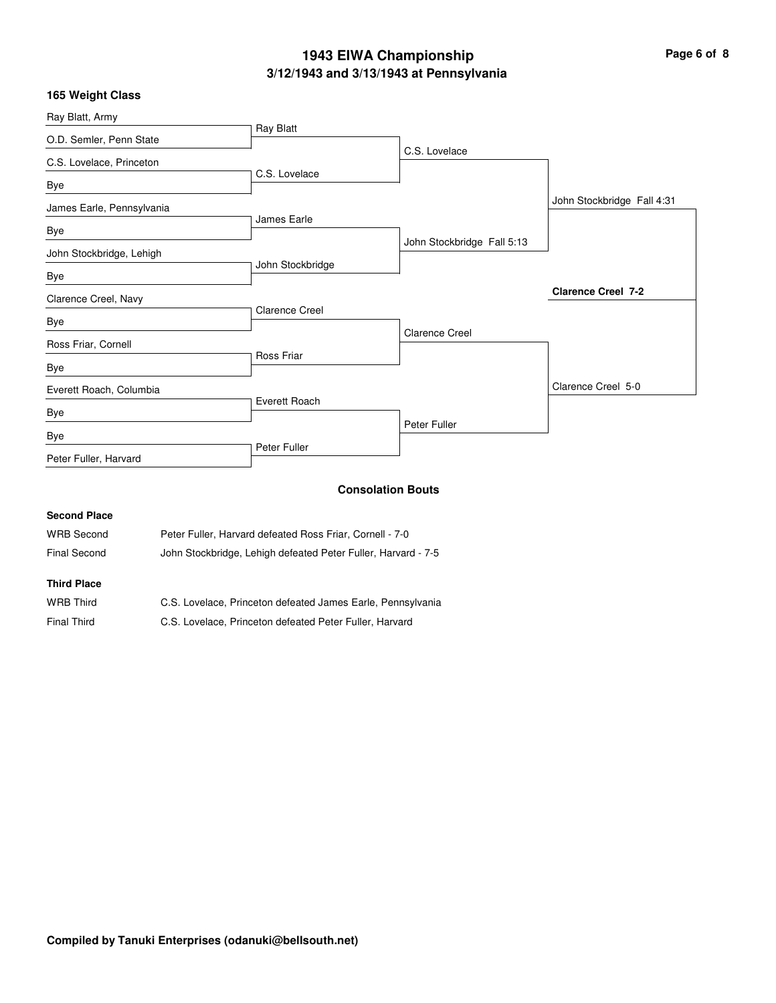# **3/12/1943 and 3/13/1943 at Pennsylvania 1943 EIWA Championship Page 6 of 8**

| 165 Weight Class          |                          |                            |                            |
|---------------------------|--------------------------|----------------------------|----------------------------|
| Ray Blatt, Army           |                          |                            |                            |
| O.D. Semler, Penn State   | Ray Blatt                |                            |                            |
| C.S. Lovelace, Princeton  |                          | C.S. Lovelace              |                            |
| Bye                       | C.S. Lovelace            |                            |                            |
| James Earle, Pennsylvania |                          |                            | John Stockbridge Fall 4:31 |
| Bye                       | James Earle              |                            |                            |
|                           |                          | John Stockbridge Fall 5:13 |                            |
| John Stockbridge, Lehigh  | John Stockbridge         |                            |                            |
| Bye                       |                          |                            |                            |
| Clarence Creel, Navy      |                          |                            | <b>Clarence Creel 7-2</b>  |
| Bye                       | <b>Clarence Creel</b>    |                            |                            |
| Ross Friar, Cornell       |                          | <b>Clarence Creel</b>      |                            |
| Bye                       | Ross Friar               |                            |                            |
| Everett Roach, Columbia   |                          |                            | Clarence Creel 5-0         |
| Bye                       | Everett Roach            |                            |                            |
| Bye                       |                          | Peter Fuller               |                            |
| Peter Fuller, Harvard     | Peter Fuller             |                            |                            |
|                           | <b>Consolation Bouts</b> |                            |                            |

| <b>OCCOTIO</b> LIGO |                                                               |
|---------------------|---------------------------------------------------------------|
| <b>WRB</b> Second   | Peter Fuller, Harvard defeated Ross Friar, Cornell - 7-0      |
| Final Second        | John Stockbridge, Lehigh defeated Peter Fuller, Harvard - 7-5 |
| <b>Third Place</b>  |                                                               |

**Second Place**

| <b>WRB Third</b> | C.S. Lovelace, Princeton defeated James Earle, Pennsylvania |
|------------------|-------------------------------------------------------------|
| Final Third      | C.S. Lovelace, Princeton defeated Peter Fuller, Harvard     |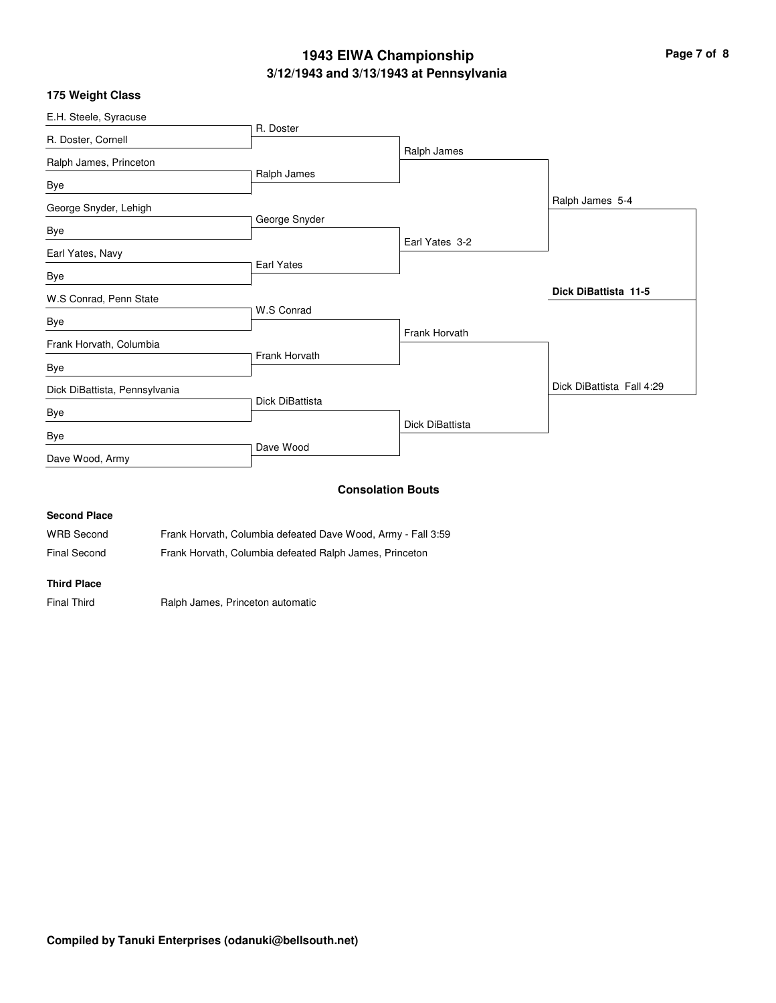# **3/12/1943 and 3/13/1943 at Pennsylvania 1943 EIWA Championship Page 7 of 8**

### **175 Weight Class**

| E.H. Steele, Syracuse         |                 |                          |                           |
|-------------------------------|-----------------|--------------------------|---------------------------|
| R. Doster, Cornell            | R. Doster       |                          |                           |
| Ralph James, Princeton        |                 | Ralph James              |                           |
| Bye                           | Ralph James     |                          |                           |
| George Snyder, Lehigh         |                 |                          | Ralph James 5-4           |
| Bye                           | George Snyder   |                          |                           |
| Earl Yates, Navy              |                 | Earl Yates 3-2           |                           |
| Bye                           | Earl Yates      |                          |                           |
| W.S Conrad, Penn State        |                 |                          | Dick DiBattista 11-5      |
| Bye                           | W.S Conrad      |                          |                           |
| Frank Horvath, Columbia       |                 | Frank Horvath            |                           |
| Bye                           | Frank Horvath   |                          |                           |
| Dick DiBattista, Pennsylvania |                 |                          | Dick DiBattista Fall 4:29 |
| Bye                           | Dick DiBattista |                          |                           |
| Bye                           |                 | Dick DiBattista          |                           |
| Dave Wood, Army               | Dave Wood       |                          |                           |
| <b>Second Place</b>           |                 | <b>Consolation Bouts</b> |                           |
|                               |                 |                          |                           |

WRB Second Frank Horvath, Columbia defeated Dave Wood, Army - Fall 3:59 Final Second Frank Horvath, Columbia defeated Ralph James, Princeton

**Third Place**

Final Third **Ralph James, Princeton automatic**